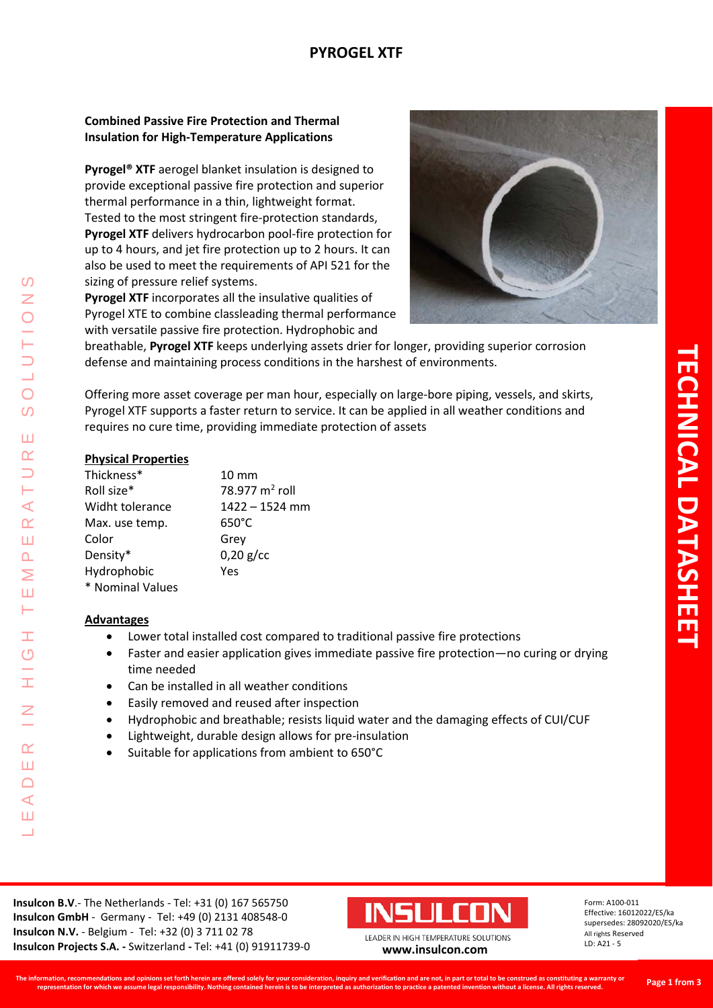## **PYROGEL XTF**

## **Combined Passive Fire Protection and Thermal Insulation for High-Temperature Applications**

**Pyrogel® XTF** aerogel blanket insulation is designed to provide exceptional passive fire protection and superior thermal performance in a thin, lightweight format. Tested to the most stringent fire-protection standards, **Pyrogel XTF** delivers hydrocarbon pool-fire protection for up to 4 hours, and jet fire protection up to 2 hours. It can also be used to meet the requirements of API 521 for the sizing of pressure relief systems.

**Pyrogel XTF** incorporates all the insulative qualities of Pyrogel XTE to combine classleading thermal performance with versatile passive fire protection. Hydrophobic and



breathable, **Pyrogel XTF** keeps underlying assets drier for longer, providing superior corrosion defense and maintaining process conditions in the harshest of environments.

Offering more asset coverage per man hour, especially on large-bore piping, vessels, and skirts, Pyrogel XTF supports a faster return to service. It can be applied in all weather conditions and requires no cure time, providing immediate protection of assets

### **Physical Properties**

| Thickness*       | $10 \text{ mm}$            |
|------------------|----------------------------|
| Roll size*       | 78.977 m <sup>2</sup> roll |
| Widht tolerance  | $1422 - 1524$ mm           |
| Max. use temp.   | $650^{\circ}$ C            |
| Color            | Grey                       |
| Density*         | $0,20$ g/cc                |
| Hydrophobic      | Yes                        |
| * Nominal Values |                            |

### **Advantages**

LEADER IN HIGH TEMPERATURE SOLUTIONS

Ŧ  $\overline{O}$ 

I

 $\alpha$ Ш  $\bigcap$  $\blacktriangleleft$ Ш  $\overline{\phantom{0}}$ 

 $\Omega$ Z

 $\overline{O}$  $\overline{O}$ 

Ш  $\alpha$ 

⊢  $\prec$  $\alpha$ Ш  $\Delta$ Σ Ш Н

- Lower total installed cost compared to traditional passive fire protections
- Faster and easier application gives immediate passive fire protection—no curing or drying time needed
- Can be installed in all weather conditions
- Easily removed and reused after inspection
- Hydrophobic and breathable; resists liquid water and the damaging effects of CUI/CUF
- Lightweight, durable design allows for pre-insulation
- Suitable for applications from ambient to 650°C



Form: A100-011 Effective: 16012022/ES/ka supersedes: 28092020/ES/ka All rights Reserved LD: A21 - 5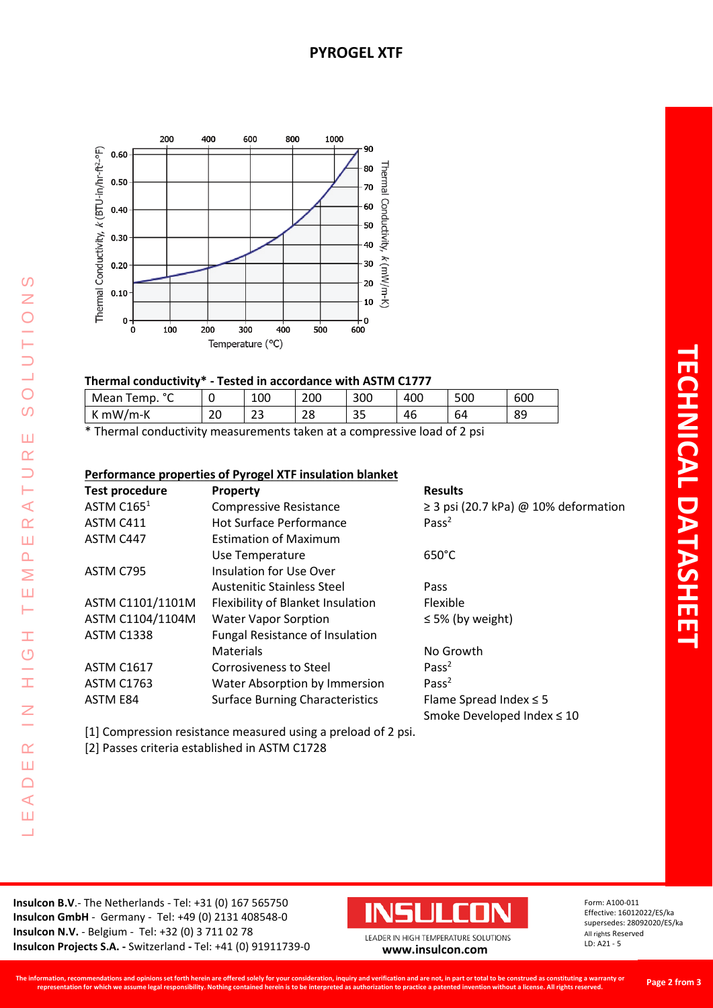

### **Thermal conductivity\* - Tested in accordance with ASTM C1777**

| $\circ$<br>Mean<br>Temp.<br>֊ | w       | 100      | 200 | 300      | 400 | 500 | 600 |
|-------------------------------|---------|----------|-----|----------|-----|-----|-----|
| $mW/m-K$<br>n                 | ີ<br>∠∪ | ີ<br>ر ے | 28  | ~~<br>35 | 46  | 64  | 89  |

\* Thermal conductivity measurements taken at a compressive load of 2 psi

### **Performance properties of Pyrogel XTF insulation blanket**

| <b>Test procedure</b> | <b>Property</b>                        | <b>Results</b>                            |
|-----------------------|----------------------------------------|-------------------------------------------|
| ASTM $C1651$          | <b>Compressive Resistance</b>          | $\geq$ 3 psi (20.7 kPa) @ 10% deformation |
| ASTM C411             | <b>Hot Surface Performance</b>         | Pass <sup>2</sup>                         |
| ASTM C447             | <b>Estimation of Maximum</b>           |                                           |
|                       | Use Temperature                        | $650^{\circ}$ C                           |
| ASTM C795             | <b>Insulation for Use Over</b>         |                                           |
|                       | <b>Austenitic Stainless Steel</b>      | Pass                                      |
| ASTM C1101/1101M      | Flexibility of Blanket Insulation      | Flexible                                  |
| ASTM C1104/1104M      | <b>Water Vapor Sorption</b>            | $\leq$ 5% (by weight)                     |
| <b>ASTM C1338</b>     | <b>Fungal Resistance of Insulation</b> |                                           |
|                       | <b>Materials</b>                       | No Growth                                 |
| <b>ASTM C1617</b>     | Corrosiveness to Steel                 | Pass <sup>2</sup>                         |
| <b>ASTM C1763</b>     | Water Absorption by Immersion          | Pass $2$                                  |
| ASTM E84              | <b>Surface Burning Characteristics</b> | Flame Spread Index $\leq$ 5               |
|                       |                                        | Smoke Developed Index ≤ 10                |

[1] Compression resistance measured using a preload of 2 psi.

[2] Passes criteria established in ASTM C1728

LEADER IN HIGH TEMPERATURE SOLUTIONS

 $\pm$ 

 $\frac{G}{H}$ 

 $\overline{z}$ 

 $\alpha$ Ш  $\Box$  $\prec$ Ш ┙

 $\Omega$ 

 $\overline{z}$ 

 $\bigcirc$ 

**ULUUTI** 

 $\overline{O}$ 

Ш  $\alpha$  $\Box$ ⊢  $\prec$  $\alpha$ Ш  $\Delta$ Σ Ш Н



Form: A100-011 Effective: 16012022/ES/ka supersedes: 28092020/ES/ka All rights Reserved LD: A21 - 5

**Page 2 from 3**